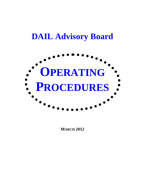# **DAIL Advisory Board**



**MARCH 2012**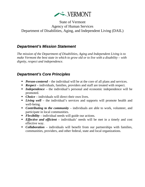

#### State of Vermont Agency of Human Services Department of Disabilities, Aging, and Independent Living (DAIL)

### *Department's Mission Statement*

*The mission of the Department of Disabilities, Aging and Independent Living is to make Vermont the best state in which to grow old or to live with a disability – with dignity, respect and independence.* 

## *Department's Core Principles*

- **Person-centered** the individual will be at the core of all plans and services.
- **Respect** individuals, families, providers and staff are treated with respect.
- **Independence** the individual's personal and economic independence will be promoted.
- *Choice* individuals will direct their own lives.
- **Living well** the individual's services and supports will promote health and well-being.
- *Contributing to the community* individuals are able to work, volunteer, and participate in local communities.
- **Flexibility** individual needs will guide our actions.
- *Effective and efficient* individuals' needs will be met in a timely and cost effective way.
- **Collaboration** individuals will benefit from our partnerships with families, communities, providers, and other federal, state and local organizations.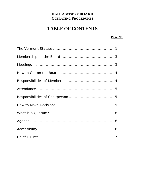## **DAIL ADVISORY BOARD OPERATING PROCEDURES**

# **TABLE OF CONTENTS**

#### Page No.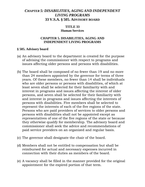#### *CHAPTER 5: DISABILITIES, AGING AND INDEPENDENT LIVING PROGRAMS* **33 V.S.A. § 505. ADVISORY BOARD**

#### **TITLE 33 Human Services**

#### **CHAPTER 5. DISABILITIES, AGING AND INDEPENDENT LIVING PROGRAMS**

#### **§ 505. Advisory board**

- (a) An advisory board to the department is created for the purpose of advising the commissioner with respect to programs and issues affecting older persons and persons with disabilities.
- (b) The board shall be composed of no fewer than 19 and no more than 24 members appointed by the governor for terms of three years. Of these members, no fewer than 14 shall be individuals who are older persons or persons with disabilities, of which at least seven shall be selected for their familiarity with and interest in programs and issues affecting the interest of older persons, and seven shall be selected for their familiarity with and interest in programs and issues affecting the interests of persons with disabilities. Five members shall be selected to represent the interests of each of the five regions of the state. Persons who are paid providers of services to older persons and persons with disabilities shall not be appointed except as representatives of one of the five regions of the state or because they otherwise qualify for membership. The advisory board and commissioner shall seek the advice and recommendations of paid service providers on an organized and regular basis.
- (c) The governor shall designate the chair of the board.
- (d) Members shall not be entitled to compensation but shall be reimbursed for actual and necessary expenses incurred in connection with their duties as members of the board.
- (e) A vacancy shall be filled in the manner provided for the original appointment for the expired portion of that term.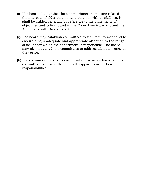- (f) The board shall advise the commissioner on matters related to the interests of older persons and persons with disabilities. It shall be guided generally by reference to the statements of objectives and policy found in the Older Americans Act and the Americans with Disabilities Act.
- (g) The board may establish committees to facilitate its work and to ensure it pays adequate and appropriate attention to the range of issues for which the department is responsible. The board may also create ad hoc committees to address discrete issues as they arise.
- (h) The commissioner shall assure that the advisory board and its committees receive sufficient staff support to meet their responsibilities.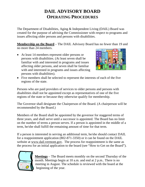# **DAIL ADVISORY BOARD OPERATING PROCEDURES**

The Department of Disabilities, Aging & Independent Living (DAIL) Board was created for the purpose of advising the Commissioner with respect to programs and issues affecting older persons and persons with disabilities.

**Membership on the Board** – The DAIL Advisory Board has no fewer than 19 and no more than 24 members.

• At least 14 members represent older persons or persons with disabilities. (At least seven shall be familiar with and interested in programs and issues affecting older persons, and seven shall be familiar with and interested in programs and issues affecting persons with disabilities).



• Five members shall be selected to represent the interests of each of the five regions of the state.

Persons who are paid providers of services to older persons and persons with disabilities shall not be appointed except as representatives of one of the five regions of the state or because they otherwise qualify for membership.

The Governor shall designate the Chairperson of the Board. (A chairperson will be recommended by the Board.)

Members of the Board shall be appointed by the governor for staggered terms of three years, and shall serve until a successor is appointed. The Board has no limit on the number of terms a person serves. If a person is appointed in the middle of a term, he/she shall fulfill the remaining amount of time for that term.

If a person is interested in serving an additional term, he/she should contact DAIL for a reappointment application (802-871-3350) or it can be found on the DAIL website at [www.dail.vermont.gov](http://www.dail.vermont.gov/). The process for reappointment is the same as the process for an initial application to the board (see "How to Get on the Board").



**Meetings** – The Board meets monthly on the second Thursday of the month. Meetings begin at 10 a.m. and end at 2 p.m.. There is no meeting in August. The schedule is reviewed with the board at the beginning of the year.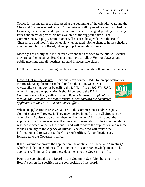Topics for the meetings are discussed at the beginning of the calendar year, and the Chair and Commissioner/Deputy Commissioner will try to adhere to this schedule. However, the schedule and topics sometimes have to change depending on arising issues and items or presenters not available at the suggested time. The Commissioner/Deputy Commissioner will discuss the agenda with the Board Chairperson and modify the schedule when needed. Some changes in the schedule may be brought to the Board, when appropriate and time allows.

Meetings are usually held in Central Vermont and are open to the public. Because they are public meetings, Board meetings have to follow Vermont laws about public meetings and all meetings are held in accessible places.

DAIL is responsible for taking meeting minutes and sending them out to members.

**How to Get on the Board** – Individuals can contact DAIL for an application for the Board. An application can be found on the DAIL website at [www.dail.vermont.gov](http://www.dail.vermont.gov/) or by calling the DAIL office at 802-871-3350. After filling out the application it should be sent to the DAIL Commissioners office, with a resume. *If you obtained an application through the Vermont Governors website, please forward the completed application to the DAIL Commissioners office.*



When an application is received at DAIL, the Commissioner and/or Deputy Commissioner will review it. They may receive input from the Chairperson or other DAIL Advisory Board members, or from other DAIL staff, about the applicant. The Commissioner will write a recommendation to the Governor about whether to accept or deny the request, and will forward the application and resume to the Secretary of the Agency of Human Services, who will review the information and forward it to the Governor's office. All applications are forwarded to the Governor's office.

If the Governor approves the application, the applicant will receive a "greeting," which includes an "Oath of Office" and "Ethics Code Acknowledgement." The applicant will sign and return these documents to the Governor's office.

People are appointed to the Board by the Governor. See "Membership on the Board" section for specifics on the composition of the board.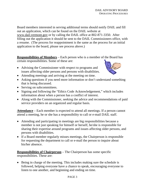Board members interested in serving additional terms should notify DAIL and fill out an application, which can be found on the DAIL website at [www.dail.vermont.gov](http://www.dail.vermont.gov/) or by calling the DAIL office at 802-871-3350. After filling out the application it should be sent to the DAIL Commissioners office, with a resume. (The process for reappointment is the same as the process for an initial application to the board, please see process above.)

**Responsibilities of Members** – Each person who is a member of the Board has certain responsibilities. Some of these are:

• Advising the Commissioner with respect to programs and issues affecting older persons and persons with disabilities.



- Attending meetings and arriving at the meeting on time.
- Asking questions if you need more information or don't understand something that is being discussed.
- Serving on subcommittees.
- Signing and following the "Ethics Code Acknowledgement," which includes information about when a person has a conflict of interest.
- Along with the Commissioner, seeking the advice and recommendations of paid service providers on an organized and regular basis.

**Attendance** – Each member is expected to attend all meetings. If a person cannot attend a meeting, he or she has a responsibility to call or e-mail DAIL staff.

- Attending and participating in meetings are big responsibilities because a member is not just speaking for himself or herself, he/she is responsible for sharing their expertise around programs and issues affecting older persons, and persons with disabilities.
- If a Board member regularly misses meetings, the Chairperson is responsible for requesting the department to call or e-mail the person to inquire about his/her absence.

**Responsibilities of Chairperson** – The Chairperson has some specific responsibilities. These are:

• Being in charge of the meeting. This includes making sure the schedule is followed, helping everyone have a chance to speak, encouraging everyone to listen to one another, and beginning and ending on time.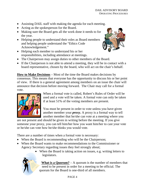- Assisting DAIL staff with making the agenda for each meeting.
- Acting as the spokesperson for the Board.
- Making sure the Board gets all the work done it needs to for the year.
- Helping people to understand their roles as Board members and helping people understand the "Ethics Code Acknowledgement."
- Helping each member to understand his or her responsibilities, including attendance at meetings.



- The Chairperson may assign duties to other members of the Board.
- If the Chairperson is not able to attend a meeting, they will be in contact with a board representative, chosen by the board, who will act on the chair's behalf.

**How to Make Decisions** – Most of the time the Board makes decisions by consensus. This means that everyone has the opportunity to discuss his or her point of view. If there is a general agreement among members on an issue the chair will announce that decision before moving forward. The Chair may call for a formal vote.



When a formal vote is called, Robert's Rules of Order will be used and a vote will be taken. A formal vote can only be taken if at least 51% of the voting members are present.

You must be present in order to vote unless you have given another member your *proxy.* A proxy is a formal way to tell another member that he/she can vote at a meeting where you

are not present and should be given in writing before the meeting. If you give someone your proxy, you can tell him/her how you want him/her to cast your vote or he/she can vote how he/she thinks you would vote.

There are a number of times when a formal vote is necessary:

- When the Board is recommending who will be the Chairperson;
- When the Board wants to make recommendations to the Commissioner or Agency Secretary regarding issues they feel strongly about;
	- When the Board is taking action on issues, e.g. writing letters to legislators.



**What is a Quorum?** – A quorum is the number of members that need to be present in order for a meeting to be official. The quorum for the Board is one-third of all members.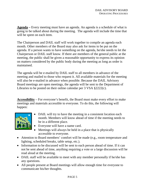**Agenda –** Every meeting must have an agenda. An agenda is a schedule of what is going to be talked about during the meeting. The agenda will include the time that will be spent on each item.

The Chairperson and DAIL staff will work together to compile an agenda each month. Other members of the Board may also ask for items to be put on the agenda. If a person wants to have something on the agenda, he/she needs to let the Chairperson or DAIL staff know. If there are members of the general public at the meeting, the public shall be given a reasonable opportunity to express its opinion on matters considered by the public body during the meeting as long as order is maintained.

The agenda will be e-mailed by DAIL staff to all members in advance of the meeting and mailed to those who request it. All available materials for the meeting will also be e-mailed in advance when possible. Because the DAIL Advisory Board meetings are open meetings, the agenda will be sent to the Department of Libraries to be posted on their online calendar per 3 VSA §2222(c).

**Accessibility** – For everyone's benefit, the Board must make every effort to make meetings and materials accessible to everyone. To do this, the following will happen:



- DAIL will try to have the meeting in a consistent location each month. Members will know ahead of time if the meeting needs to be in a different place.
- Everyone will have a name card.
- Meetings will always be held in a place that is physically accessible to everyone.
- Attention to Board members' comfort will be made (e.g., room temperature and lighting, scheduled breaks, table setup, etc.).
- Information to be discussed will be sent to each person ahead of time. If it can not be sent ahead of time, anything requiring a vote or a large discussion will be read aloud at the meeting.
- DAIL staff will be available to meet with any member personally if he/she has any questions.
- All people present at Board meetings will allow enough time for everyone to communicate his/her thoughts.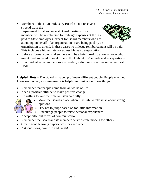- Members of the DAIL Advisory Board do not receive a stipend from the Department for attendance at Board meetings. Board members will be reimbursed for mileage expenses at the rate paid to State employees, except for Board members who are attending on behalf of an organization or are being paid by an organization to attend, in these cases no mileage reimbursement will be paid. This includes a higher rate for accessible van transportation.
- Before a formal vote is taken there will be a brief break to allow anyone who might need some additional time to think about his/her vote and ask questions.
- If individual accommodations are needed, individuals shall make that request to DAIL.

**Helpful Hints** – The Board is made up of many different people. People may not know each other, so sometimes it is helpful to think about these things:

- Remember that people come from all walks of life.
- Keep a positive attitude to make positive change.
- Be willing to take the time to listen carefully.



- Make the Board a place where it is safe to take risks about strong opinions.
- Try not to judge based on too little information.
- Encourage people to relate personal experiences.
- Accept different forms of communication.
- Remember the Board and its members serve as role models for others.
- Create good learning experiences for each other.
- Ask questions, have fun and laugh!